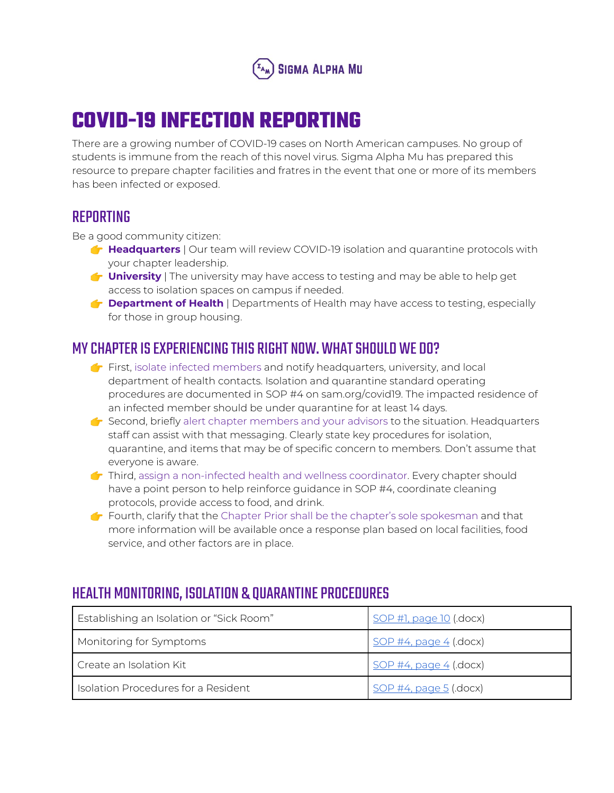

## **COVID-19 INFECTION REPORTING**

There are a growing number of COVID-19 cases on North American campuses. No group of students is immune from the reach of this novel virus. Sigma Alpha Mu has prepared this resource to prepare chapter facilities and fratres in the event that one or more of its members has been infected or exposed.

## REPORTING

Be a good community citizen:

- **Headquarters** | Our team will review COVID-19 isolation and quarantine protocols with your chapter leadership.
- **University** | The university may have access to testing and may be able to help get access to isolation spaces on campus if needed.
- **Department of Health** | Departments of Health may have access to testing, especially for those in group housing.

## MY CHAPTER IS EXPERIENCING THIS RIGHT NOW. WHAT SHOULD WE DO?

- $\bullet$  First, isolate infected members and notify headquarters, university, and local department of health contacts. Isolation and quarantine standard operating procedures are documented in SOP #4 on sam.org/covid19. The impacted residence of an infected member should be under quarantine for at least 14 days.
- $\bullet$  Second, briefly alert chapter members and your advisors to the situation. Headquarters staff can assist with that messaging. Clearly state key procedures for isolation, quarantine, and items that may be of specific concern to members. Don't assume that everyone is aware.
- Third, assign a non-infected health and wellness coordinator. Every chapter should have a point person to help reinforce guidance in SOP #4, coordinate cleaning protocols, provide access to food, and drink.
- Fourth, clarify that the Chapter Prior shall be the chapter's sole spokesman and that more information will be available once a response plan based on local facilities, food service, and other factors are in place.

## HEALTH MONITORING, ISOLATION & QUARANTINEPROCEDURES

| Establishing an Isolation or "Sick Room" | <u>SOP #1, page 10</u> (docx) |
|------------------------------------------|-------------------------------|
| Monitoring for Symptoms                  | SOP #4, page $4$ (.docx)      |
| Create an Isolation Kit                  | SOP #4, page $4$ (.docx)      |
| Isolation Procedures for a Resident      | $SOP$ #4, page 5 (docx)       |